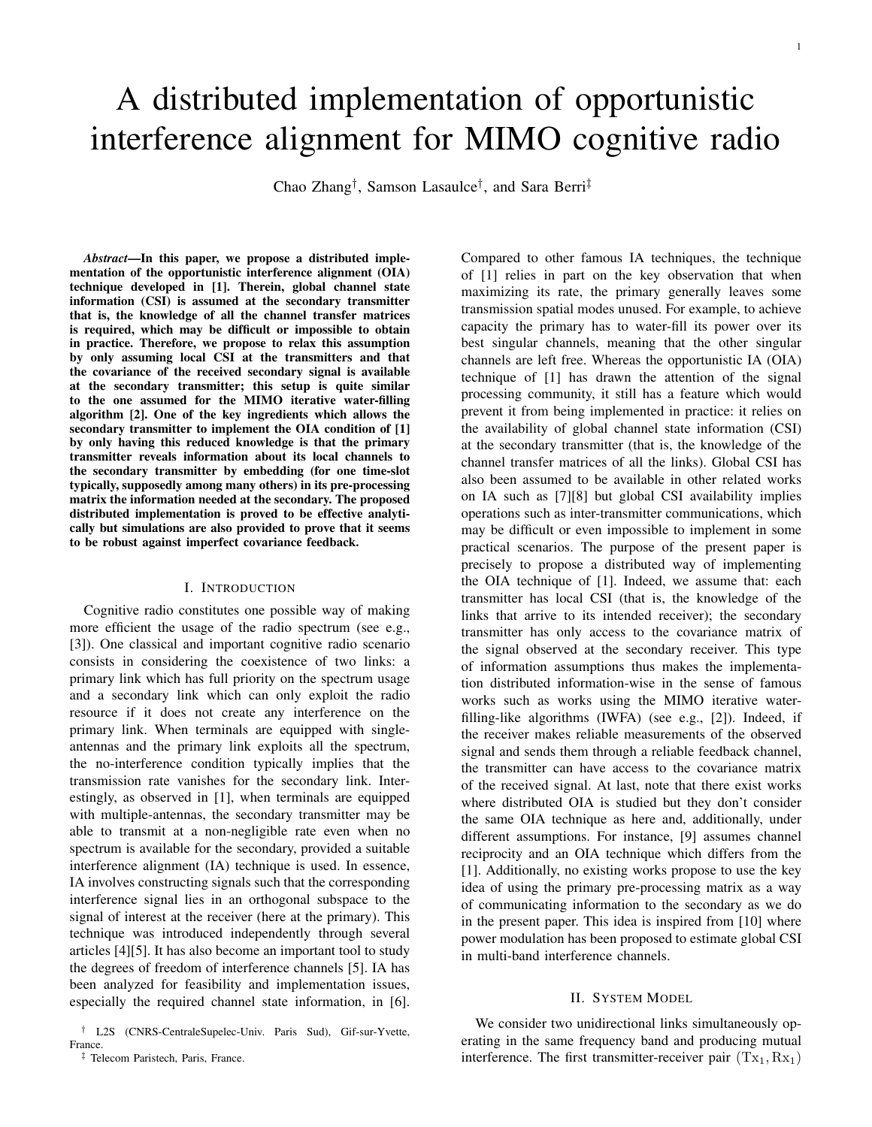# 1

# A distributed implementation of opportunistic interference alignment for MIMO cognitive radio

Chao Zhang† , Samson Lasaulce† , and Sara Berri‡

*Abstract*—In this paper, we propose a distributed implementation of the opportunistic interference alignment (OIA) technique developed in [1]. Therein, global channel state information (CSI) is assumed at the secondary transmitter that is, the knowledge of all the channel transfer matrices is required, which may be difficult or impossible to obtain in practice. Therefore, we propose to relax this assumption by only assuming local CSI at the transmitters and that the covariance of the received secondary signal is available at the secondary transmitter; this setup is quite similar to the one assumed for the MIMO iterative water-filling algorithm [2]. One of the key ingredients which allows the secondary transmitter to implement the OIA condition of [1] by only having this reduced knowledge is that the primary transmitter reveals information about its local channels to the secondary transmitter by embedding (for one time-slot typically, supposedly among many others) in its pre-processing matrix the information needed at the secondary. The proposed distributed implementation is proved to be effective analytically but simulations are also provided to prove that it seems to be robust against imperfect covariance feedback.

## I. INTRODUCTION

Cognitive radio constitutes one possible way of making more efficient the usage of the radio spectrum (see e.g., [3]). One classical and important cognitive radio scenario consists in considering the coexistence of two links: a primary link which has full priority on the spectrum usage and a secondary link which can only exploit the radio resource if it does not create any interference on the primary link. When terminals are equipped with singleantennas and the primary link exploits all the spectrum, the no-interference condition typically implies that the transmission rate vanishes for the secondary link. Interestingly, as observed in [1], when terminals are equipped with multiple-antennas, the secondary transmitter may be able to transmit at a non-negligible rate even when no spectrum is available for the secondary, provided a suitable interference alignment (IA) technique is used. In essence, IA involves constructing signals such that the corresponding interference signal lies in an orthogonal subspace to the signal of interest at the receiver (here at the primary). This technique was introduced independently through several articles [4][5]. It has also become an important tool to study the degrees of freedom of interference channels [5]. IA has been analyzed for feasibility and implementation issues, especially the required channel state information, in [6].

Compared to other famous IA techniques, the technique of [1] relies in part on the key observation that when maximizing its rate, the primary generally leaves some transmission spatial modes unused. For example, to achieve capacity the primary has to water-fill its power over its best singular channels, meaning that the other singular channels are left free. Whereas the opportunistic IA (OIA) technique of [1] has drawn the attention of the signal processing community, it still has a feature which would prevent it from being implemented in practice: it relies on the availability of global channel state information (CSI) at the secondary transmitter (that is, the knowledge of the channel transfer matrices of all the links). Global CSI has also been assumed to be available in other related works on IA such as [7][8] but global CSI availability implies operations such as inter-transmitter communications, which may be difficult or even impossible to implement in some practical scenarios. The purpose of the present paper is precisely to propose a distributed way of implementing the OIA technique of [1]. Indeed, we assume that: each transmitter has local CSI (that is, the knowledge of the links that arrive to its intended receiver); the secondary transmitter has only access to the covariance matrix of the signal observed at the secondary receiver. This type of information assumptions thus makes the implementation distributed information-wise in the sense of famous works such as works using the MIMO iterative waterfilling-like algorithms (IWFA) (see e.g., [2]). Indeed, if the receiver makes reliable measurements of the observed signal and sends them through a reliable feedback channel, the transmitter can have access to the covariance matrix of the received signal. At last, note that there exist works where distributed OIA is studied but they don't consider the same OIA technique as here and, additionally, under different assumptions. For instance, [9] assumes channel reciprocity and an OIA technique which differs from the [1]. Additionally, no existing works propose to use the key idea of using the primary pre-processing matrix as a way of communicating information to the secondary as we do in the present paper. This idea is inspired from [10] where power modulation has been proposed to estimate global CSI in multi-band interference channels.

#### II. SYSTEM MODEL

We consider two unidirectional links simultaneously operating in the same frequency band and producing mutual interference. The first transmitter-receiver pair  $(Tx_1, Rx_1)$ 

<sup>†</sup> L2S (CNRS-CentraleSupelec-Univ. Paris Sud), Gif-sur-Yvette, France.

<sup>‡</sup> Telecom Paristech, Paris, France.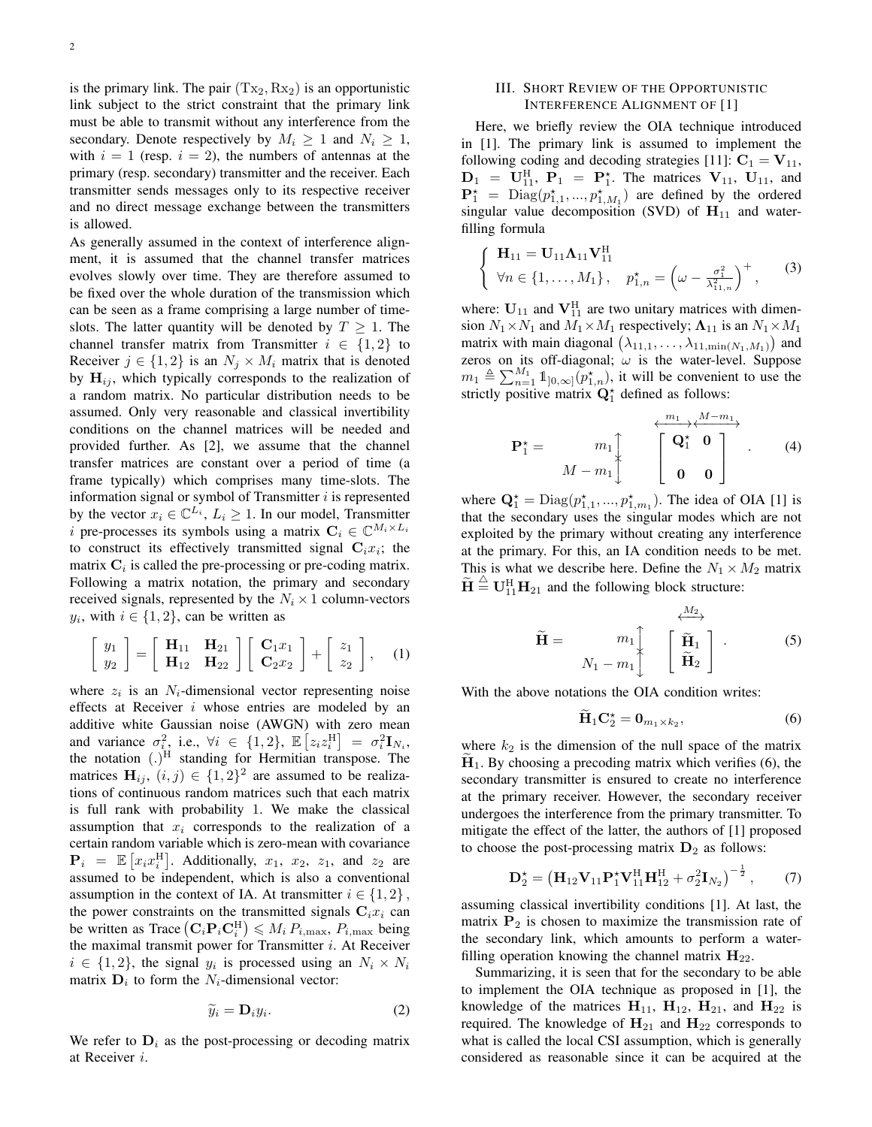is the primary link. The pair  $(Tx_2, Rx_2)$  is an opportunistic link subject to the strict constraint that the primary link must be able to transmit without any interference from the secondary. Denote respectively by  $M_i \geq 1$  and  $N_i \geq 1$ , with  $i = 1$  (resp.  $i = 2$ ), the numbers of antennas at the primary (resp. secondary) transmitter and the receiver. Each transmitter sends messages only to its respective receiver and no direct message exchange between the transmitters is allowed.

As generally assumed in the context of interference alignment, it is assumed that the channel transfer matrices evolves slowly over time. They are therefore assumed to be fixed over the whole duration of the transmission which can be seen as a frame comprising a large number of timeslots. The latter quantity will be denoted by  $T \geq 1$ . The channel transfer matrix from Transmitter  $i \in \{1,2\}$  to Receiver  $j \in \{1, 2\}$  is an  $N_j \times M_i$  matrix that is denoted by  $H_{ij}$ , which typically corresponds to the realization of a random matrix. No particular distribution needs to be assumed. Only very reasonable and classical invertibility conditions on the channel matrices will be needed and provided further. As [2], we assume that the channel transfer matrices are constant over a period of time (a frame typically) which comprises many time-slots. The information signal or symbol of Transmitter  $i$  is represented by the vector  $x_i \in \mathbb{C}^{L_i}$ ,  $L_i \geq 1$ . In our model, Transmitter i pre-processes its symbols using a matrix  $C_i \in \mathbb{C}^{M_i \times L_i}$ to construct its effectively transmitted signal  $C_i x_i$ ; the matrix  $C_i$  is called the pre-processing or pre-coding matrix. Following a matrix notation, the primary and secondary received signals, represented by the  $N_i \times 1$  column-vectors  $y_i$ , with  $i \in \{1, 2\}$ , can be written as

$$
\left[\begin{array}{c}y_1\\y_2\end{array}\right]=\left[\begin{array}{cc}\mathbf{H}_{11}&\mathbf{H}_{21}\\ \mathbf{H}_{12}&\mathbf{H}_{22}\end{array}\right]\left[\begin{array}{c}\mathbf{C}_1x_1\\ \mathbf{C}_2x_2\end{array}\right]+\left[\begin{array}{c}z_1\\z_2\end{array}\right],\quad(1)
$$

where  $z_i$  is an  $N_i$ -dimensional vector representing noise effects at Receiver i whose entries are modeled by an additive white Gaussian noise (AWGN) with zero mean and variance  $\sigma_i^2$ , i.e.,  $\forall i \in \{1, 2\}$ ,  $\mathbb{E}\left[z_i z_i^{\text{H}}\right] = \sigma_i^2 \mathbf{I}_{N_i}$ , the notation  $(.)^H$  standing for Hermitian transpose. The matrices  $\mathbf{H}_{ij}$ ,  $(i, j) \in \{1, 2\}^2$  are assumed to be realizations of continuous random matrices such that each matrix is full rank with probability 1. We make the classical assumption that  $x_i$  corresponds to the realization of a certain random variable which is zero-mean with covariance  $\mathbf{P}_i = \mathbb{E}\left[x_i x_i^{\text{H}}\right]$ . Additionally,  $x_1, x_2, z_1$ , and  $z_2$  are assumed to be independent, which is also a conventional assumption in the context of IA. At transmitter  $i \in \{1, 2\}$ , the power constraints on the transmitted signals  $C_i x_i$  can be written as Trace  $(\mathbf{C}_i \mathbf{P}_i \mathbf{C}_i^{\mathrm{H}}) \leqslant M_i P_{i, \max}$ ,  $P_{i, \max}$  being the maximal transmit power for Transmitter  $i$ . At Receiver  $i \in \{1,2\}$ , the signal  $y_i$  is processed using an  $N_i \times N_i$ matrix  $\mathbf{D}_i$  to form the  $N_i$ -dimensional vector:

$$
\widetilde{y}_i = \mathbf{D}_i y_i. \tag{2}
$$

We refer to  $D_i$  as the post-processing or decoding matrix at Receiver i.

# III. SHORT REVIEW OF THE OPPORTUNISTIC INTERFERENCE ALIGNMENT OF [1]

Here, we briefly review the OIA technique introduced in [1]. The primary link is assumed to implement the following coding and decoding strategies [11]:  $C_1 = V_{11}$ ,  $D_1 = U_{11}^H$ ,  $P_1 = P_1^*$ . The matrices  $V_{11}$ ,  $U_{11}$ , and  $\mathbf{P}_1^{\star} = \text{Diag}(p_{1,1}^{\star},...,p_{1,M_1}^{\star})$  are defined by the ordered singular value decomposition (SVD) of  $H_{11}$  and waterfilling formula

$$
\begin{cases} \mathbf{H}_{11} = \mathbf{U}_{11} \mathbf{\Lambda}_{11} \mathbf{V}_{11}^{\mathrm{H}} \\ \forall n \in \{1, ..., M_1\}, \quad p_{1,n}^{\star} = \left(\omega - \frac{\sigma_1^2}{\lambda_{11,n}^2}\right)^+, \end{cases} (3)
$$

where:  $\mathbf{U}_{11}$  and  $\mathbf{V}_{11}^{\text{H}}$  are two unitary matrices with dimension  $N_1 \times N_1$  and  $M_1 \times M_1$  respectively;  $\Lambda_{11}$  is an  $N_1 \times M_1$ matrix with main diagonal  $(\lambda_{11,1}, \ldots, \lambda_{11,\min(N_1,M_1)})$  and zeros on its off-diagonal;  $\omega$  is the water-level. Suppose  $m_1 \triangleq \sum_{n=1}^{M_1} 1\!\!\!\!\perp_{]0,\infty]} (p_{1,n}^\star)$ , it will be convenient to use the strictly positive matrix  $\mathbf{Q}_1^*$  defined as follows:

$$
\mathbf{P}_{1}^{\star} = \begin{array}{c} m_{1} \\ m_{1} \\ \hline M - m_{1} \end{array} \begin{array}{c} \stackrel{\leftarrow m_{1} \rightarrow \leftarrow M - m_{1}}{\leftarrow} \\ \begin{bmatrix} \mathbf{Q}_{1}^{\star} & \mathbf{0} \\ \mathbf{0} & \mathbf{0} \end{bmatrix} \end{array} . \tag{4}
$$

where  $\mathbf{Q}_1^* = \text{Diag}(p_{1,1}^*,...,p_{1,m_1}^*)$ . The idea of OIA [1] is that the secondary uses the singular modes which are not exploited by the primary without creating any interference at the primary. For this, an IA condition needs to be met. This is what we describe here. Define the  $N_1 \times M_2$  matrix  $\widetilde{\mathbf{H}} \stackrel{\triangle}{=} \mathbf{U}_{11}^{\mathrm{H}} \mathbf{H}_{21}$  and the following block structure:

$$
\widetilde{\mathbf{H}} = \begin{array}{c} m_1 \\ m_1 \\ N_1 - m_1 \end{array} \begin{array}{c} \xleftarrow{M_2} \\ \begin{bmatrix} \widetilde{\mathbf{H}}_1 \\ \widetilde{\mathbf{H}}_2 \end{bmatrix} . \end{array}
$$
 (5)

With the above notations the OIA condition writes:

$$
\widetilde{\mathbf{H}}_1 \mathbf{C}_2^{\star} = \mathbf{0}_{m_1 \times k_2},\tag{6}
$$

where  $k_2$  is the dimension of the null space of the matrix  $H_1$ . By choosing a precoding matrix which verifies (6), the secondary transmitter is ensured to create no interference at the primary receiver. However, the secondary receiver undergoes the interference from the primary transmitter. To mitigate the effect of the latter, the authors of [1] proposed to choose the post-processing matrix  $D_2$  as follows:

$$
\mathbf{D}_{2}^{\star} = \left(\mathbf{H}_{12}\mathbf{V}_{11}\mathbf{P}_{1}^{\star}\mathbf{V}_{11}^{\mathrm{H}}\mathbf{H}_{12}^{\mathrm{H}} + \sigma_{2}^{2}\mathbf{I}_{N_{2}}\right)^{-\frac{1}{2}},\qquad(7)
$$

assuming classical invertibility conditions [1]. At last, the matrix  $P_2$  is chosen to maximize the transmission rate of the secondary link, which amounts to perform a waterfilling operation knowing the channel matrix  $H_{22}$ .

Summarizing, it is seen that for the secondary to be able to implement the OIA technique as proposed in [1], the knowledge of the matrices  $H_{11}$ ,  $H_{12}$ ,  $H_{21}$ , and  $H_{22}$  is required. The knowledge of  $H_{21}$  and  $H_{22}$  corresponds to what is called the local CSI assumption, which is generally considered as reasonable since it can be acquired at the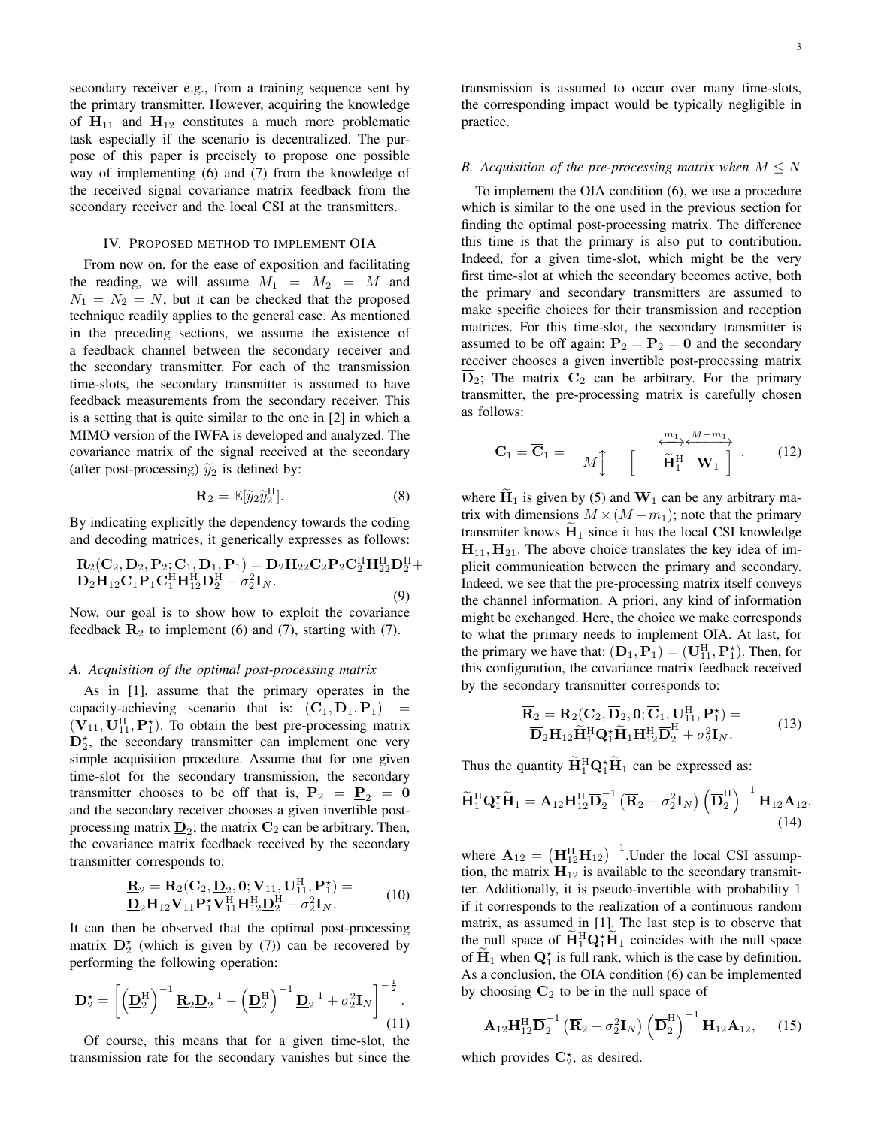secondary receiver e.g., from a training sequence sent by the primary transmitter. However, acquiring the knowledge of  $H_{11}$  and  $H_{12}$  constitutes a much more problematic task especially if the scenario is decentralized. The purpose of this paper is precisely to propose one possible way of implementing (6) and (7) from the knowledge of the received signal covariance matrix feedback from the secondary receiver and the local CSI at the transmitters.

#### IV. PROPOSED METHOD TO IMPLEMENT OIA

From now on, for the ease of exposition and facilitating the reading, we will assume  $M_1 = M_2 = M$  and  $N_1 = N_2 = N$ , but it can be checked that the proposed technique readily applies to the general case. As mentioned in the preceding sections, we assume the existence of a feedback channel between the secondary receiver and the secondary transmitter. For each of the transmission time-slots, the secondary transmitter is assumed to have feedback measurements from the secondary receiver. This is a setting that is quite similar to the one in [2] in which a MIMO version of the IWFA is developed and analyzed. The covariance matrix of the signal received at the secondary (after post-processing)  $\tilde{y}_2$  is defined by:

$$
\mathbf{R}_2 = \mathbb{E}[\widetilde{y}_2 \widetilde{y}_2^{\mathrm{H}}]. \tag{8}
$$

By indicating explicitly the dependency towards the coding and decoding matrices, it generically expresses as follows:

$$
R_2(C_2, D_2, P_2; C_1, D_1, P_1) = D_2H_{22}C_2P_2C_2^H H_{22}^H D_2^H + D_2H_{12}C_1P_1C_1^H H_{12}^H D_2^H + \sigma_2^2I_N.
$$
\n(9)

Now, our goal is to show how to exploit the covariance feedback  $\mathbf{R}_2$  to implement (6) and (7), starting with (7).

#### *A. Acquisition of the optimal post-processing matrix*

As in [1], assume that the primary operates in the capacity-achieving scenario that is:  $(C_1, D_1, P_1)$  =  $(\mathbf{V}_{11}, \mathbf{U}_{11}^{\text{H}}, \mathbf{P}_{1}^{\star})$ . To obtain the best pre-processing matrix  $D_2^*$ , the secondary transmitter can implement one very simple acquisition procedure. Assume that for one given time-slot for the secondary transmission, the secondary transmitter chooses to be off that is,  $P_2 = P_2 = 0$ and the secondary receiver chooses a given invertible postprocessing matrix  $\underline{\mathbf{D}}_2$ ; the matrix  $\mathbf{C}_2$  can be arbitrary. Then, the covariance matrix feedback received by the secondary transmitter corresponds to:

$$
\underline{\mathbf{R}}_2 = \mathbf{R}_2(\mathbf{C}_2, \underline{\mathbf{D}}_2, \mathbf{0}; \mathbf{V}_{11}, \mathbf{U}_{11}^{\mathrm{H}}, \mathbf{P}_1^*) = \n\underline{\mathbf{D}}_2 \mathbf{H}_{12} \mathbf{V}_{11} \mathbf{P}_1^* \mathbf{V}_{11}^{\mathrm{H}} \mathbf{H}_{12}^{\mathrm{H}} \underline{\mathbf{D}}_2^{\mathrm{H}} + \sigma_2^2 \mathbf{I}_N.
$$
\n(10)

It can then be observed that the optimal post-processing matrix  $D_2^*$  (which is given by (7)) can be recovered by performing the following operation:

$$
\mathbf{D}_2^{\star} = \left[ \left( \underline{\mathbf{D}}_2^{\mathrm{H}} \right)^{-1} \underline{\mathbf{R}}_2 \underline{\mathbf{D}}_2^{-1} - \left( \underline{\mathbf{D}}_2^{\mathrm{H}} \right)^{-1} \underline{\mathbf{D}}_2^{-1} + \sigma_2^2 \mathbf{I}_N \right]^{-\frac{1}{2}}.
$$
\n(11)

Of course, this means that for a given time-slot, the transmission rate for the secondary vanishes but since the transmission is assumed to occur over many time-slots, the corresponding impact would be typically negligible in practice.

## *B.* Acquisition of the pre-processing matrix when  $M \leq N$

To implement the OIA condition (6), we use a procedure which is similar to the one used in the previous section for finding the optimal post-processing matrix. The difference this time is that the primary is also put to contribution. Indeed, for a given time-slot, which might be the very first time-slot at which the secondary becomes active, both the primary and secondary transmitters are assumed to make specific choices for their transmission and reception matrices. For this time-slot, the secondary transmitter is assumed to be off again:  $P_2 = \overline{P}_2 = 0$  and the secondary receiver chooses a given invertible post-processing matrix  $D_2$ ; The matrix  $C_2$  can be arbitrary. For the primary transmitter, the pre-processing matrix is carefully chosen as follows:

$$
\mathbf{C}_1 = \overline{\mathbf{C}}_1 = \mathbf{M} \begin{bmatrix} \overbrace{\mathbf{H}_1^{\mathrm{H}}}^{\overbrace{\mathbf{H}_1^{\mathrm{H}}} \mathbf{W}_1} \end{bmatrix} . \tag{12}
$$

where  $H_1$  is given by (5) and  $W_1$  can be any arbitrary matrix with dimensions  $M \times (M - m_1)$ ; note that the primary transmiter knows  $H_1$  since it has the local CSI knowledge  $H_{11}$ ,  $H_{21}$ . The above choice translates the key idea of implicit communication between the primary and secondary. Indeed, we see that the pre-processing matrix itself conveys the channel information. A priori, any kind of information might be exchanged. Here, the choice we make corresponds to what the primary needs to implement OIA. At last, for the primary we have that:  $(D_1, P_1) = (U_{11}^H, P_1^*)$ . Then, for this configuration, the covariance matrix feedback received by the secondary transmitter corresponds to:

$$
\overline{\mathbf{R}}_2 = \mathbf{R}_2(\mathbf{C}_2, \overline{\mathbf{D}}_2, \mathbf{0}; \overline{\mathbf{C}}_1, \mathbf{U}_{11}^{\text{H}}, \mathbf{P}_1^{\star}) = \n\overline{\mathbf{D}}_2 \mathbf{H}_{12} \widetilde{\mathbf{H}}_1^{\text{H}} \mathbf{Q}_1^{\star} \widetilde{\mathbf{H}}_1 \mathbf{H}_{12}^{\text{H}} \overline{\mathbf{D}}_2^{\text{H}} + \sigma_2^2 \mathbf{I}_N.
$$
\n(13)

Thus the quantity  $\tilde{H}_1^H Q_1^* \tilde{H}_1$  can be expressed as:

$$
\widetilde{\mathbf{H}}_1^{\mathrm{H}} \mathbf{Q}_1^{\star} \widetilde{\mathbf{H}}_1 = \mathbf{A}_{12} \mathbf{H}_{12}^{\mathrm{H}} \overline{\mathbf{D}}_2^{-1} \left( \overline{\mathbf{R}}_2 - \sigma_2^2 \mathbf{I}_N \right) \left( \overline{\mathbf{D}}_2^{\mathrm{H}} \right)^{-1} \mathbf{H}_{12} \mathbf{A}_{12},
$$
\n(14)

where  $\mathbf{A}_{12} = \left(\mathbf{H}_{12}^{\text{H}}\mathbf{H}_{12}\right)^{-1}$ . Under the local CSI assumption, the matrix  $H_{12}$  is available to the secondary transmitter. Additionally, it is pseudo-invertible with probability 1 if it corresponds to the realization of a continuous random matrix, as assumed in [1]. The last step is to observe that the null space of  $\mathbf{H}^{\text{H}}_1 \mathbf{Q}_1^{\star} \mathbf{H}_1$  coincides with the null space of  $\mathbf{H}_1$  when  $\mathbf{Q}_1^*$  is full rank, which is the case by definition. As a conclusion, the OIA condition (6) can be implemented by choosing  $C_2$  to be in the null space of

$$
\mathbf{A}_{12}\mathbf{H}_{12}^{\mathrm{H}}\overline{\mathbf{D}}_{2}^{-1}\left(\overline{\mathbf{R}}_{2}-\sigma_{2}^{2}\mathbf{I}_{N}\right)\left(\overline{\mathbf{D}}_{2}^{\mathrm{H}}\right)^{-1}\mathbf{H}_{12}\mathbf{A}_{12},\quad(15)
$$

which provides  $C_2^*$ , as desired.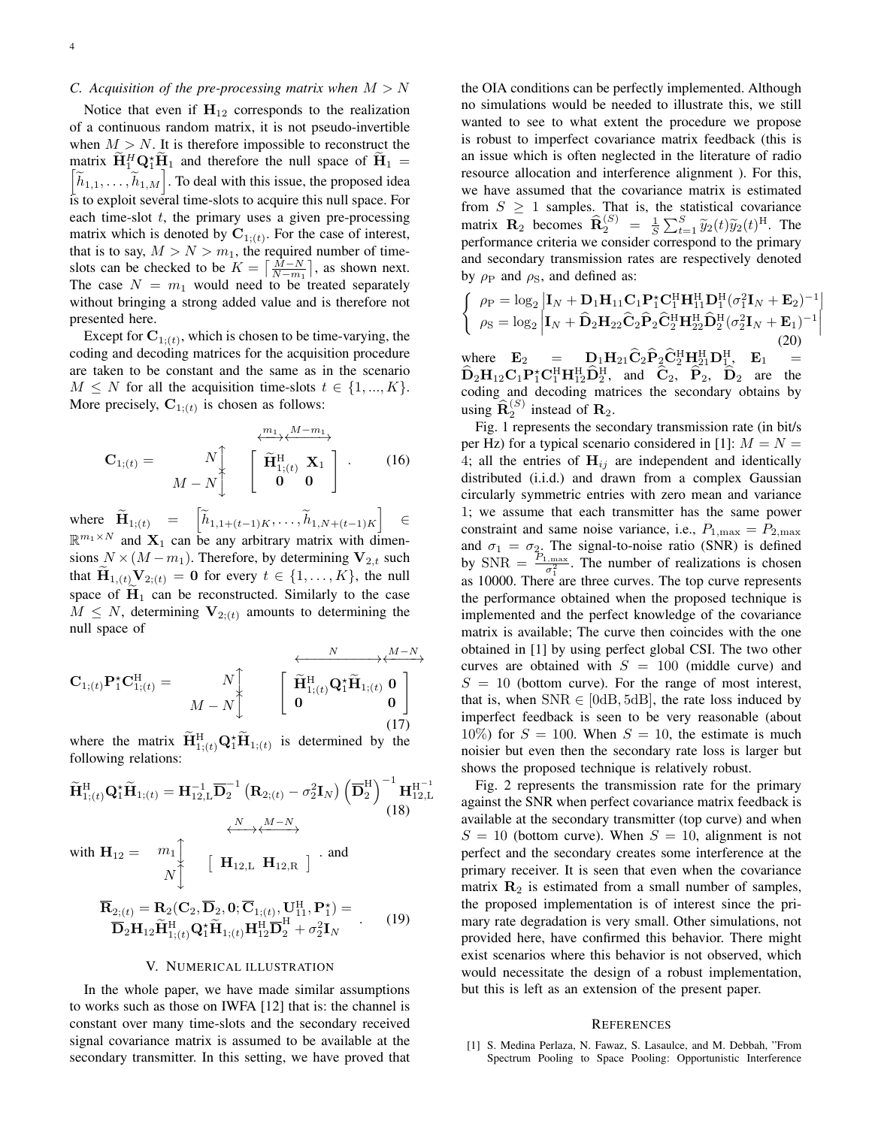# *C.* Acquisition of the pre-processing matrix when  $M > N$

Notice that even if  $H_{12}$  corresponds to the realization of a continuous random matrix, it is not pseudo-invertible when  $M > N$ . It is therefore impossible to reconstruct the matrix  $\widetilde{\mathbf{H}}_1^H \mathbf{Q}_1^* \widetilde{\mathbf{H}}_1$  and therefore the null space of  $\widetilde{\mathbf{H}}_1 =$  $\left[\widetilde{h}_{1,1}, \ldots, \widetilde{h}_{1,M}\right]$ . To deal with this issue, the proposed idea is to exploit several time-slots to acquire this null space. For each time-slot  $t$ , the primary uses a given pre-processing matrix which is denoted by  $\mathbf{C}_{1;(t)}$ . For the case of interest, that is to say,  $M > N > m_1$ , the required number of timeslots can be checked to be  $K = \left\lceil \frac{M-N}{N-m_1} \right\rceil$ , as shown next. The case  $N = m_1$  would need to be treated separately without bringing a strong added value and is therefore not presented here.

Except for  $C_{1;(t)}$ , which is chosen to be time-varying, the coding and decoding matrices for the acquisition procedure are taken to be constant and the same as in the scenario  $M \leq N$  for all the acquisition time-slots  $t \in \{1, ..., K\}.$ More precisely,  $\mathbf{C}_{1;(t)}$  is chosen as follows:

$$
\mathbf{C}_{1;(t)} = \begin{array}{c} N \downarrow \\ M - N \downarrow \end{array} \begin{array}{c} \xrightarrow{\mathcal{W}_{1}} \downarrow M - m_1 \\ \left[ \begin{array}{c} \widetilde{\mathbf{H}}_{1;(t)}^{\mathrm{H}} \mathbf{X}_1 \\ \mathbf{0} & \mathbf{0} \end{array} \right] \end{array} . \tag{16}
$$

where  $\widetilde{\mathbf{H}}_{1;(t)} = \begin{bmatrix} \widetilde{h}_{1,1+(t-1)K}, \dots, \widetilde{h}_{1,N+(t-1)K} \end{bmatrix} \in$  $\mathbb{R}^{m_1 \times N}$  and  $X_1$  can be any arbitrary matrix with dimensions  $N \times (M - m_1)$ . Therefore, by determining  $V_{2,t}$  such that  $\mathbf{H}_{1,(t)}\underset{\sim}{\sum} \mathbf{V}_{2;(t)} = \mathbf{0}$  for every  $t \in \{1,\ldots,K\}$ , the null space of  $H_1$  can be reconstructed. Similarly to the case  $M \leq N$ , determining  $V_{2;(t)}$  amounts to determining the null space of

$$
\mathbf{C}_{1;(t)}\mathbf{P}_1^{\star}\mathbf{C}_{1;(t)}^{\mathrm{H}} = \begin{array}{c} N \downarrow \\ M - N \downarrow \end{array} \qquad \left[ \begin{array}{c} \overbrace{\mathbf{\widetilde{H}}_{1;(t)}^{\mathrm{H}} \mathbf{Q}_1^{\star} \widetilde{\mathbf{H}}_{1;(t)} \mathbf{0} \\ \mathbf{0} \end{array} \right] \tag{17}
$$

where the matrix  $\widetilde{\mathbf{H}}_{1;(t)}^{\mathrm{H}}\mathbf{Q}_1^{\star}\widetilde{\mathbf{H}}_{1;(t)}$  is determined by the following relations:

$$
\widetilde{\mathbf{H}}_{1;(t)}^{\mathrm{H}}\mathbf{Q}_{1}^{\star}\widetilde{\mathbf{H}}_{1;(t)} = \mathbf{H}_{12,\mathrm{L}}^{-1}\overline{\mathbf{D}}_{2}^{-1}\left(\mathbf{R}_{2;(t)} - \sigma_{2}^{2}\mathbf{I}_{N}\right)\left(\overline{\mathbf{D}}_{2}^{\mathrm{H}}\right)^{-1}\mathbf{H}_{12,\mathrm{L}}^{\mathrm{H}-1}
$$
\nwith  $\mathbf{H}_{12} = m_{1}$ \n
$$
N \downarrow \qquad \qquad [\mathbf{H}_{12,\mathrm{L}} \mathbf{H}_{12,\mathrm{R}}] \cdot \text{and}
$$
\n
$$
\overline{\mathbf{R}}_{2;(t)} = \mathbf{R}_{2}(\mathbf{C}_{2}, \overline{\mathbf{D}}_{2}, \mathbf{0}; \overline{\mathbf{C}}_{1;(t)}, \mathbf{U}_{11}^{\mathrm{H}}, \mathbf{P}_{1}^{\star}) = \overline{\mathbf{D}}_{2}\mathbf{H}_{12}\widetilde{\mathbf{H}}_{1;(t)}^{\mathrm{H}}\mathbf{Q}_{1}^{\star}\widetilde{\mathbf{H}}_{1;(t)}\mathbf{H}_{12}^{\mathrm{H}}\overline{\mathbf{D}}_{2}^{\mathrm{H}} + \sigma_{2}^{2}\mathbf{I}_{N} \qquad (19)
$$

#### V. NUMERICAL ILLUSTRATION

In the whole paper, we have made similar assumptions to works such as those on IWFA [12] that is: the channel is constant over many time-slots and the secondary received signal covariance matrix is assumed to be available at the secondary transmitter. In this setting, we have proved that

the OIA conditions can be perfectly implemented. Although no simulations would be needed to illustrate this, we still wanted to see to what extent the procedure we propose is robust to imperfect covariance matrix feedback (this is an issue which is often neglected in the literature of radio resource allocation and interference alignment ). For this, we have assumed that the covariance matrix is estimated from  $S \geq 1$  samples. That is, the statistical covariance matrix  $\mathbf{R}_2$  becomes  $\widehat{\mathbf{R}}_2^{(S)} = \frac{1}{S} \sum_{t=1}^S \widetilde{y}_2(t) \widetilde{y}_2(t)^{\text{H}}$ . The performance criteria we consider correspond to the primary and secondary transmission rates are respectively denoted by  $\rho_P$  and  $\rho_S$ , and defined as:

$$
\begin{cases}\n\rho_{\rm P} = \log_2 |\mathbf{I}_N + \mathbf{D}_1 \mathbf{H}_{11} \mathbf{C}_1 \mathbf{P}_1^* \mathbf{C}_1^{\rm H} \mathbf{H}_{11}^{\rm H} \mathbf{D}_1^{\rm H} (\sigma_1^2 \mathbf{I}_N + \mathbf{E}_2)^{-1}| \\
\rho_{\rm S} = \log_2 |\mathbf{I}_N + \hat{\mathbf{D}}_2 \mathbf{H}_{22} \hat{\mathbf{C}}_2 \hat{\mathbf{P}}_2 \hat{\mathbf{C}}_2^{\rm H} \mathbf{H}_{22}^{\rm H} \hat{\mathbf{D}}_2^{\rm H} (\sigma_2^2 \mathbf{I}_N + \mathbf{E}_1)^{-1}| \n\end{cases} (20)
$$

where  $\mathbf{E}_2 = \mathbf{D}_1 \mathbf{H}_{21} \hat{\mathbf{C}}_2 \hat{\mathbf{P}}_2 \hat{\mathbf{C}}_2^H \mathbf{H}_{21}^H \mathbf{D}_1^H$ ,  $\mathbf{E}_1 = \hat{\mathbf{E}}_1 \hat{\mathbf{C}}_2 \mathbf{H}_{21}^H \hat{\mathbf{C}}_2^H \mathbf{H}_{21}^H$  $\widehat{\mathbf{D}}_2 \mathbf{H}_{12} \mathbf{C}_1 \mathbf{P}_1^* \mathbf{C}_1^{\text{H}} \mathbf{H}_{12}^{\text{H}} \widehat{\mathbf{D}}_2^{\text{H}}$ , and  $\widehat{\mathbf{C}}_2$ ,  $\widehat{\mathbf{P}}_2$ ,  $\widehat{\mathbf{D}}_2$  are the coding and decoding matrices the secondary obtains by using  $\widehat{\mathbf{R}}_2^{(S)}$  instead of  $\mathbf{R}_2$ .

Fig. 1 represents the secondary transmission rate (in bit/s per Hz) for a typical scenario considered in [1]:  $M = N =$ 4; all the entries of  $H_{ij}$  are independent and identically distributed (i.i.d.) and drawn from a complex Gaussian circularly symmetric entries with zero mean and variance 1; we assume that each transmitter has the same power constraint and same noise variance, i.e.,  $P_{1,\text{max}} = P_{2,\text{max}}$ and  $\sigma_1 = \sigma_2$ . The signal-to-noise ratio (SNR) is defined by  $SNR = \frac{P_{1,\text{max}}}{\sigma_1^2}$ . The number of realizations is chosen as 10000. There are three curves. The top curve represents the performance obtained when the proposed technique is implemented and the perfect knowledge of the covariance matrix is available; The curve then coincides with the one obtained in [1] by using perfect global CSI. The two other curves are obtained with  $S = 100$  (middle curve) and  $S = 10$  (bottom curve). For the range of most interest, that is, when  $SNR \in [0dB, 5dB]$ , the rate loss induced by imperfect feedback is seen to be very reasonable (about 10%) for  $S = 100$ . When  $S = 10$ , the estimate is much noisier but even then the secondary rate loss is larger but shows the proposed technique is relatively robust.

Fig. 2 represents the transmission rate for the primary against the SNR when perfect covariance matrix feedback is available at the secondary transmitter (top curve) and when  $S = 10$  (bottom curve). When  $S = 10$ , alignment is not perfect and the secondary creates some interference at the primary receiver. It is seen that even when the covariance matrix  $\mathbf{R}_2$  is estimated from a small number of samples, the proposed implementation is of interest since the primary rate degradation is very small. Other simulations, not provided here, have confirmed this behavior. There might exist scenarios where this behavior is not observed, which would necessitate the design of a robust implementation, but this is left as an extension of the present paper.

#### **REFERENCES**

[1] S. Medina Perlaza, N. Fawaz, S. Lasaulce, and M. Debbah, "From Spectrum Pooling to Space Pooling: Opportunistic Interference